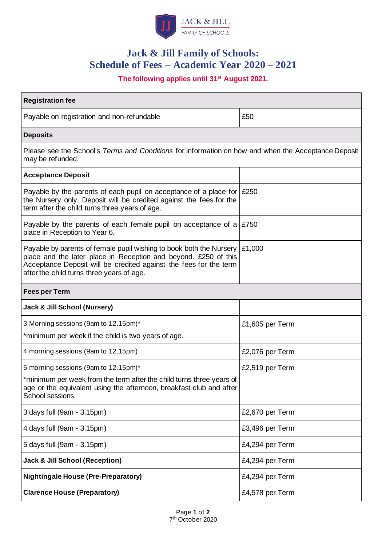

# **Jack & Jill Family of Schools: Schedule of Fees – Academic Year 2020 – 2021**

# **The following applies until 31st August 2021.**

| <b>Registration fee</b>                                                                                                                                                                                                                                  |                 |
|----------------------------------------------------------------------------------------------------------------------------------------------------------------------------------------------------------------------------------------------------------|-----------------|
| Payable on registration and non-refundable                                                                                                                                                                                                               | £50             |
| <b>Deposits</b>                                                                                                                                                                                                                                          |                 |
| Please see the School's Terms and Conditions for information on how and when the Acceptance Deposit<br>may be refunded.                                                                                                                                  |                 |
| <b>Acceptance Deposit</b>                                                                                                                                                                                                                                |                 |
| Payable by the parents of each pupil on acceptance of a place for $\mid$ £250<br>the Nursery only. Deposit will be credited against the fees for the<br>term after the child turns three years of age.                                                   |                 |
| Payable by the parents of each female pupil on acceptance of a $\mid$ £750<br>place in Reception to Year 6.                                                                                                                                              |                 |
| Payable by parents of female pupil wishing to book both the Nursery<br>place and the later place in Reception and beyond. £250 of this<br>Acceptance Deposit will be credited against the fees for the term<br>after the child turns three years of age. | £1,000          |
| <b>Fees per Term</b>                                                                                                                                                                                                                                     |                 |
| Jack & Jill School (Nursery)                                                                                                                                                                                                                             |                 |
| 3 Morning sessions (9am to 12.15pm)*                                                                                                                                                                                                                     | £1,605 per Term |
| *minimum per week if the child is two years of age.                                                                                                                                                                                                      |                 |
| 4 morning sessions (9am to 12.15pm)                                                                                                                                                                                                                      | £2,076 per Term |
| 5 morning sessions (9am to 12.15pm)*                                                                                                                                                                                                                     | £2,519 per Term |
| *minimum per week from the term after the child turns three years of<br>age or the equivalent using the afternoon, breakfast club and after<br>School sessions.                                                                                          |                 |
| 3 days full (9am - 3.15pm)                                                                                                                                                                                                                               | £2,670 per Term |
| 4 days full (9am - 3.15pm)                                                                                                                                                                                                                               | £3,496 per Term |
| 5 days full (9am - 3.15pm)                                                                                                                                                                                                                               | £4,294 per Term |
| <b>Jack &amp; Jill School (Reception)</b>                                                                                                                                                                                                                | £4,294 per Term |
| <b>Nightingale House (Pre-Preparatory)</b>                                                                                                                                                                                                               | £4,294 per Term |
| <b>Clarence House (Preparatory)</b>                                                                                                                                                                                                                      | £4,578 per Term |